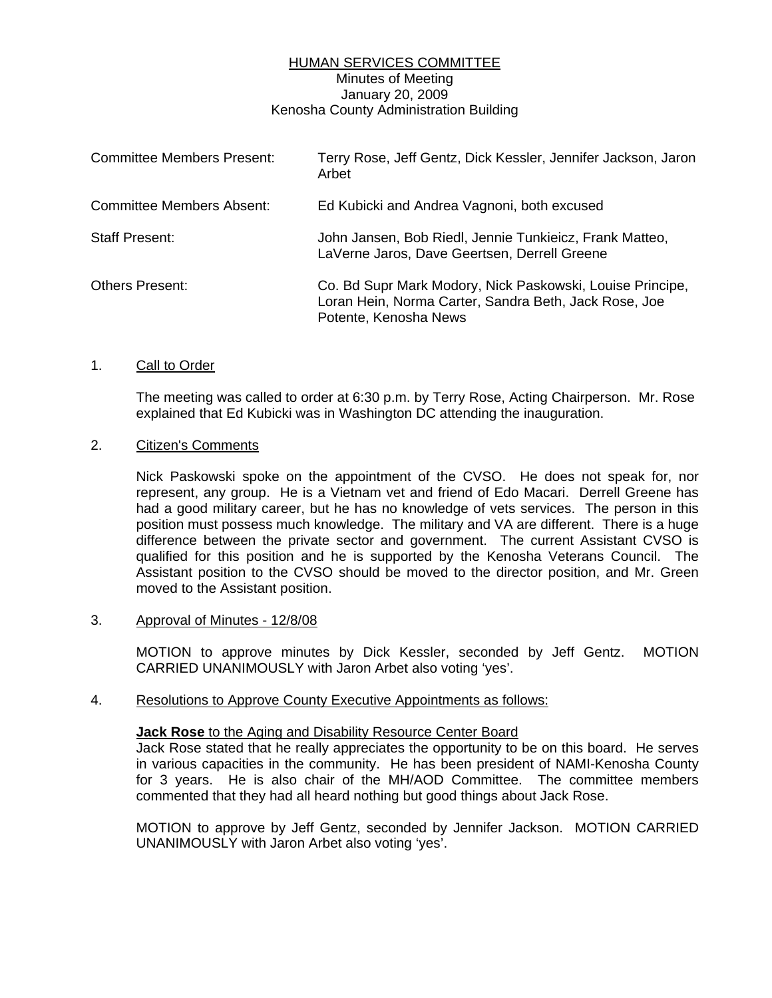# HUMAN SERVICES COMMITTEE Minutes of Meeting January 20, 2009 Kenosha County Administration Building

| <b>Committee Members Present:</b> | Terry Rose, Jeff Gentz, Dick Kessler, Jennifer Jackson, Jaron<br>Arbet                                                                      |
|-----------------------------------|---------------------------------------------------------------------------------------------------------------------------------------------|
| Committee Members Absent:         | Ed Kubicki and Andrea Vagnoni, both excused                                                                                                 |
| <b>Staff Present:</b>             | John Jansen, Bob Riedl, Jennie Tunkieicz, Frank Matteo,<br>LaVerne Jaros, Dave Geertsen, Derrell Greene                                     |
| <b>Others Present:</b>            | Co. Bd Supr Mark Modory, Nick Paskowski, Louise Principe,<br>Loran Hein, Norma Carter, Sandra Beth, Jack Rose, Joe<br>Potente, Kenosha News |

## 1. Call to Order

 The meeting was called to order at 6:30 p.m. by Terry Rose, Acting Chairperson. Mr. Rose explained that Ed Kubicki was in Washington DC attending the inauguration.

# 2. Citizen's Comments

 Nick Paskowski spoke on the appointment of the CVSO. He does not speak for, nor represent, any group. He is a Vietnam vet and friend of Edo Macari. Derrell Greene has had a good military career, but he has no knowledge of vets services. The person in this position must possess much knowledge. The military and VA are different. There is a huge difference between the private sector and government. The current Assistant CVSO is qualified for this position and he is supported by the Kenosha Veterans Council. The Assistant position to the CVSO should be moved to the director position, and Mr. Green moved to the Assistant position.

### 3. Approval of Minutes - 12/8/08

 MOTION to approve minutes by Dick Kessler, seconded by Jeff Gentz. MOTION CARRIED UNANIMOUSLY with Jaron Arbet also voting 'yes'.

### 4. Resolutions to Approve County Executive Appointments as follows:

### **Jack Rose** to the Aging and Disability Resource Center Board

 Jack Rose stated that he really appreciates the opportunity to be on this board. He serves in various capacities in the community. He has been president of NAMI-Kenosha County for 3 years. He is also chair of the MH/AOD Committee. The committee members commented that they had all heard nothing but good things about Jack Rose.

 MOTION to approve by Jeff Gentz, seconded by Jennifer Jackson. MOTION CARRIED UNANIMOUSLY with Jaron Arbet also voting 'yes'.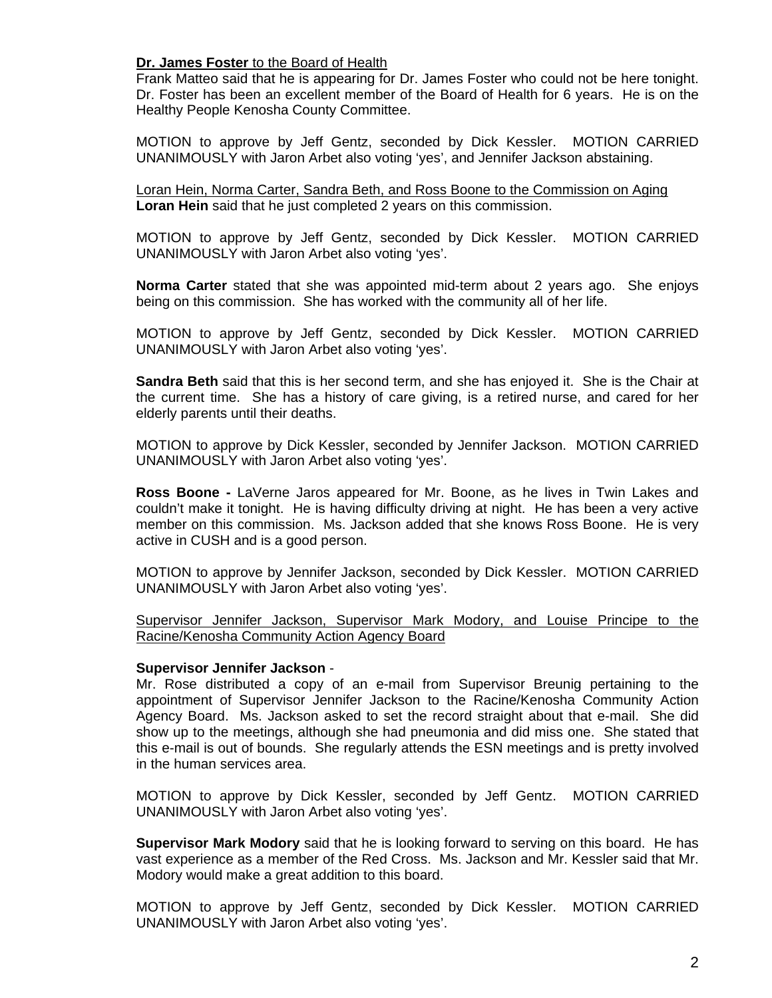# **Dr. James Foster** to the Board of Health

 Frank Matteo said that he is appearing for Dr. James Foster who could not be here tonight. Dr. Foster has been an excellent member of the Board of Health for 6 years. He is on the Healthy People Kenosha County Committee.

 MOTION to approve by Jeff Gentz, seconded by Dick Kessler. MOTION CARRIED UNANIMOUSLY with Jaron Arbet also voting 'yes', and Jennifer Jackson abstaining.

Loran Hein, Norma Carter, Sandra Beth, and Ross Boone to the Commission on Aging **Loran Hein** said that he just completed 2 years on this commission.

 MOTION to approve by Jeff Gentz, seconded by Dick Kessler. MOTION CARRIED UNANIMOUSLY with Jaron Arbet also voting 'yes'.

**Norma Carter** stated that she was appointed mid-term about 2 years ago. She enjoys being on this commission. She has worked with the community all of her life.

 MOTION to approve by Jeff Gentz, seconded by Dick Kessler. MOTION CARRIED UNANIMOUSLY with Jaron Arbet also voting 'yes'.

**Sandra Beth** said that this is her second term, and she has enjoyed it. She is the Chair at the current time. She has a history of care giving, is a retired nurse, and cared for her elderly parents until their deaths.

 MOTION to approve by Dick Kessler, seconded by Jennifer Jackson. MOTION CARRIED UNANIMOUSLY with Jaron Arbet also voting 'yes'.

**Ross Boone -** LaVerne Jaros appeared for Mr. Boone, as he lives in Twin Lakes and couldn't make it tonight. He is having difficulty driving at night. He has been a very active member on this commission. Ms. Jackson added that she knows Ross Boone. He is very active in CUSH and is a good person.

 MOTION to approve by Jennifer Jackson, seconded by Dick Kessler. MOTION CARRIED UNANIMOUSLY with Jaron Arbet also voting 'yes'.

Supervisor Jennifer Jackson, Supervisor Mark Modory, and Louise Principe to the Racine/Kenosha Community Action Agency Board

### **Supervisor Jennifer Jackson** -

 Mr. Rose distributed a copy of an e-mail from Supervisor Breunig pertaining to the appointment of Supervisor Jennifer Jackson to the Racine/Kenosha Community Action Agency Board. Ms. Jackson asked to set the record straight about that e-mail. She did show up to the meetings, although she had pneumonia and did miss one. She stated that this e-mail is out of bounds. She regularly attends the ESN meetings and is pretty involved in the human services area.

 MOTION to approve by Dick Kessler, seconded by Jeff Gentz. MOTION CARRIED UNANIMOUSLY with Jaron Arbet also voting 'yes'.

**Supervisor Mark Modory** said that he is looking forward to serving on this board. He has vast experience as a member of the Red Cross. Ms. Jackson and Mr. Kessler said that Mr. Modory would make a great addition to this board.

 MOTION to approve by Jeff Gentz, seconded by Dick Kessler. MOTION CARRIED UNANIMOUSLY with Jaron Arbet also voting 'yes'.